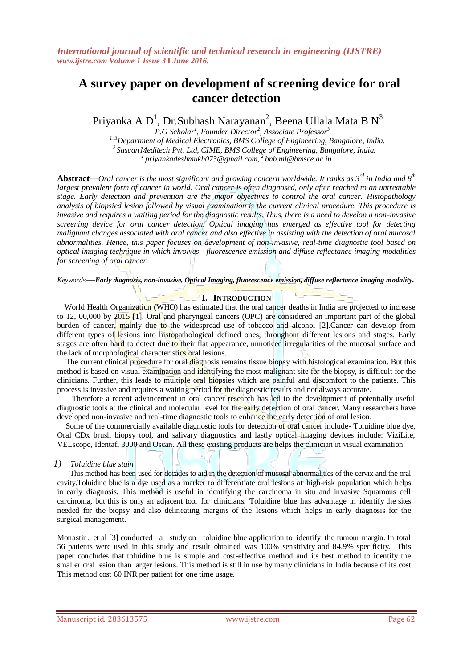# **A survey paper on development of screening device for oral cancer detection**

Priyanka A $\, {\rm D}^1, \, {\rm Dr}.$ Subhash Narayanan $^2, \, {\rm Be}$ ena Ullala Mata B $\, {\rm N}^3$ 

 *P.G Scholar<sup>1</sup> , Founder Director<sup>2</sup> , Associate Professor<sup>3</sup> 1, 3Department of Medical Electronics, BMS College of Engineering, Bangalore, India. <sup>2</sup>Sascan Meditech Pvt. Ltd, CIME, BMS College of Engineering, Bangalore, India. <sup>1</sup>priyankadeshmukh073@gmail.com, <sup>2</sup>bnb.ml@bmsce.ac.in*

**Abstract***—Oral cancer is the most significant and growing concern worldwide. It ranks as 3rd in India and 8th largest prevalent form of cancer in world. Oral cancer is often diagnosed, only after reached to an untreatable stage. Early detection and prevention are the major objectives to control the oral cancer. Histopathology analysis of biopsied lesion followed by visual examination is the current clinical procedure. This procedure is invasive and requires a waiting period for the diagnostic results. Thus, there is a need to develop a non-invasive screening device for oral cancer detection. Optical imaging has emerged as effective tool for detecting malignant changes associated with oral cancer and also effective in assisting with the detection of oral mucosal abnormalities. Hence, this paper focuses on development of non-invasive, real-time diagnostic tool based on optical imaging technique in which involves - fluorescence emission and diffuse reflectance imaging modalities for screening of oral cancer.* 

*Keywords***—***Early diagnosis, non-invasive, Optical Imaging, fluorescence emission, diffuse reflectance imaging modality.*

# **I. INTRODUCTION**

World Health Organization (WHO) has estimated that the oral cancer deaths in India are projected to increase to 12, 00,000 by 2015 [1]. Oral and pharyngeal cancers (OPC) are considered an important part of the global burden of cancer, mainly due to the widespread use of tobacco and alcohol [2].Cancer can develop from different types of lesions into histopathological defined ones, throughout different lesions and stages. Early stages are often hard to detect due to their flat appearance, unnoticed irregularities of the mucosal surface and the lack of morphological characteristics oral lesions.

The current clinical procedure for oral diagnosis remains tissue biopsy with histological examination. But this method is based on visual examination and identifying the most malignant site for the biopsy, is difficult for the clinicians. Further, this leads to multiple oral biopsies which are painful and discomfort to the patients. This process is invasive and requires a waiting period for the diagnostic results and not always accurate.

 Therefore a recent advancement in oral cancer research has led to the development of potentially useful diagnostic tools at the clinical and molecular level for the early detection of oral cancer. Many researchers have developed non-invasive and real-time diagnostic tools to enhance the early detection of oral lesion.

Some of the commercially available diagnostic tools for detection of oral cancer include- Toluidine blue dye, Oral CDx brush biopsy tool, and salivary diagnostics and lastly optical imaging devices include: ViziLite, VELscope, Identafi 3000 and Oscan. All these existing products are helps the clinician in visual examination.

# *1) Toluidine blue stain*

 This method has been used for decades to aid in the detection of mucosal abnormalities of the cervix and the oral cavity.Toluidine blue is a dye used as a marker to differentiate oral lesions at high-risk population which helps in early diagnosis. This method is useful in identifying the carcinoma in situ and invasive Squamous cell carcinoma, but this is only an adjacent tool for clinicians. Toluidine blue has advantage in identify the sites needed for the biopsy and also delineating margins of the lesions which helps in early diagnosis for the surgical management.

Monastir J et al [3] conducted a study on toluidine blue application to identify the tumour margin. In total 56 patients were used in this study and result obtained was 100% sensitivity and 84.9% specificity. This paper concludes that toluidine blue is simple and cost-effective method and its best method to identify the smaller oral lesion than larger lesions. This method is still in use by many clinicians in India because of its cost. This method cost 60 INR per patient for one time usage.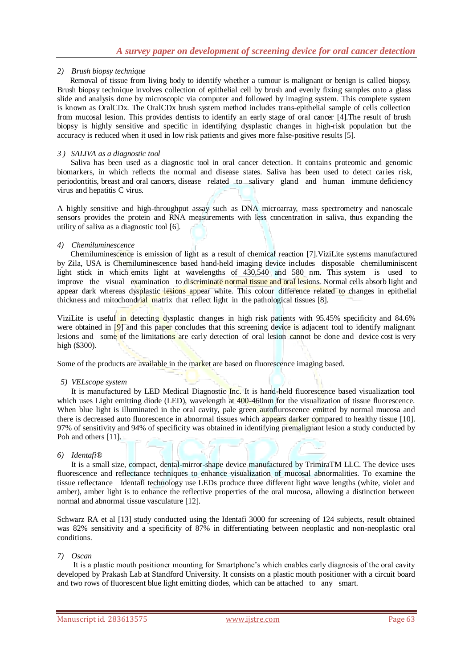# *2) Brush biopsy technique*

 Removal of tissue from living body to identify whether a tumour is malignant or benign is called biopsy. Brush biopsy technique involves collection of epithelial cell by brush and evenly fixing samples onto a glass slide and analysis done by microscopic via computer and followed by imaging system. This complete system is known as OralCDx. The OralCDx brush system method includes trans-epithelial sample of cells collection from mucosal lesion. This provides dentists to identify an early stage of oral cancer [4].The result of brush biopsy is highly sensitive and specific in identifying dysplastic changes in high-risk population but the accuracy is reduced when it used in low risk patients and gives more false-positive results [5].

# *3 ) SALIVA as a diagnostic tool*

 Saliva has been used as a diagnostic tool in oral cancer detection. It contains proteomic and genomic biomarkers, in which reflects the normal and disease states. Saliva has been used to detect caries risk, periodontitis, breast and oral cancers, disease related to salivary gland and human immune deficiency virus and hepatitis C virus.

A highly sensitive and high-throughput assay such as DNA microarray, mass spectrometry and nanoscale sensors provides the protein and RNA measurements with less concentration in saliva, thus expanding the utility of saliva as a diagnostic tool [6].

# *4) Chemiluminescence*

 Chemiluminescence is emission of light as a result of chemical reaction [7].ViziLite systems manufactured by Zila, USA is Chemiluminescence based hand-held imaging device includes disposable chemiluminiscent light stick in which emits light at wavelengths of 430,540 and 580 nm. This system is used to improve the visual examination to discriminate normal tissue and oral lesions. Normal cells absorb light and appear dark whereas dysplastic lesions appear white. This colour difference related to changes in epithelial thickness and mitochondrial matrix that reflect light in the pathological tissues [8].

ViziLite is useful in detecting dysplastic changes in high risk patients with 95.45% specificity and 84.6% were obtained in [9] and this paper concludes that this screening device is adjacent tool to identify malignant lesions and some of the limitations are early detection of oral lesion cannot be done and device cost is very high (\$300).

Some of the products are available in the market are based on fluorescence imaging based.

#### *5) VELscope system*

 It is manufactured by LED Medical Diagnostic Inc. It is hand-held fluorescence based visualization tool which uses Light emitting diode (LED), wavelength at 400-460nm for the visualization of tissue fluorescence. When blue light is illuminated in the oral cavity, pale green autofluroscence emitted by normal mucosa and there is decreased auto fluorescence in abnormal tissues which appears darker compared to healthy tissue [10]. 97% of sensitivity and 94% of specificity was obtained in identifying premalignant lesion a study conducted by Poh and others [11].

# *6) Identafi®*

 It is a small size, compact, dental-mirror-shape device manufactured by TrimiraTM LLC. The device uses fluorescence and reflectance techniques to enhance visualization of mucosal abnormalities. To examine the tissue reflectance Identafi technology use LEDs produce three different light wave lengths (white, violet and amber), amber light is to enhance the reflective properties of the oral mucosa, allowing a distinction between normal and abnormal tissue vasculature [12].

Schwarz RA et al [13] study conducted using the Identafi 3000 for screening of 124 subjects, result obtained was 82% sensitivity and a specificity of 87% in differentiating between neoplastic and non-neoplastic oral conditions.

# *7) Oscan*

 It is a plastic mouth positioner mounting for Smartphone's which enables early diagnosis of the oral cavity developed by Prakash Lab at Standford University. It consists on a plastic mouth positioner with a circuit board and two rows of fluorescent blue light emitting diodes, which can be attached to any smart.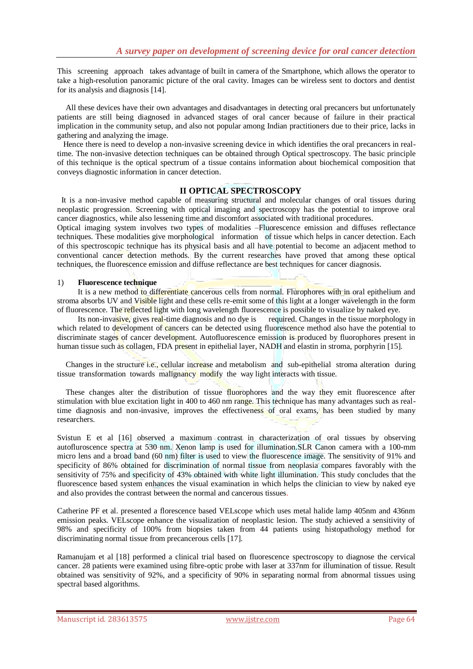This screening approach takes advantage of built in camera of the Smartphone, which allows the operator to take a high-resolution panoramic picture of the oral cavity. Images can be wireless sent to doctors and dentist for its analysis and diagnosis [14].

All these devices have their own advantages and disadvantages in detecting oral precancers but unfortunately patients are still being diagnosed in advanced stages of oral cancer because of failure in their practical implication in the community setup, and also not popular among Indian practitioners due to their price, lacks in gathering and analyzing the image.

 Hence there is need to develop a non-invasive screening device in which identifies the oral precancers in realtime. The non-invasive detection techniques can be obtained through Optical spectroscopy. The basic principle of this technique is the optical spectrum of a tissue contains information about biochemical composition that conveys diagnostic information in cancer detection.

# **II OPTICAL SPECTROSCOPY**

 It is a non-invasive method capable of measuring structural and molecular changes of oral tissues during neoplastic progression. Screening with optical imaging and spectroscopy has the potential to improve oral cancer diagnostics, while also lessening time and discomfort associated with traditional procedures.

Optical imaging system involves two types of modalities –Fluorescence emission and diffuses reflectance techniques. These modalities give morphological information of tissue which helps in cancer detection. Each of this spectroscopic technique has its physical basis and all have potential to become an adjacent method to conventional cancer detection methods. By the current researches have proved that among these optical techniques, the fluorescence emission and diffuse reflectance are best techniques for cancer diagnosis.

#### 1) **Fluorescence technique**

It is a new method to differentiate cancerous cells from normal. Flurophores with in oral epithelium and stroma absorbs UV and Visible light and these cells re-emit some of this light at a longer wavelength in the form of fluorescence. The reflected light with long wavelength fluorescence is possible to visualize by naked eye.

 Its non-invasive, gives real-time diagnosis and no dye is required. Changes in the tissue morphology in which related to development of cancers can be detected using fluorescence method also have the potential to discriminate stages of cancer development. Autofluorescence emission is produced by fluorophores present in human tissue such as collagen, FDA present in epithelial layer, NADH and elastin in stroma, porphyrin [15].

Changes in the structure i.e., cellular increase and metabolism and sub-epithelial stroma alteration during tissue transformation towards malignancy modify the way light interacts with tissue.

These changes alter the distribution of tissue fluorophores and the way they emit fluorescence after stimulation with blue excitation light in 400 to 460 nm range. This technique has many advantages such as realtime diagnosis and non-invasive, improves the effectiveness of oral exams, has been studied by many researchers.

Svistun E et al [16] observed a maximum contrast in characterization of oral tissues by observing autofluroscence spectra at 530 nm. Xenon lamp is used for illumination.SLR Canon camera with a 100-mm micro lens and a broad band (60 nm) filter is used to view the fluorescence image. The sensitivity of 91% and specificity of 86% obtained for discrimination of normal tissue from neoplasia compares favorably with the sensitivity of 75% and specificity of 43% obtained with white light illumination. This study concludes that the fluorescence based system enhances the visual examination in which helps the clinician to view by naked eye and also provides the contrast between the normal and cancerous tissues.

Catherine PF et al. presented a florescence based VELscope which uses metal halide lamp 405nm and 436nm emission peaks. VELscope enhance the visualization of neoplastic lesion. The study achieved a sensitivity of 98% and specificity of 100% from biopsies taken from 44 patients using histopathology method for discriminating normal tissue from precancerous cells [17].

Ramanujam et al [18] performed a clinical trial based on fluorescence spectroscopy to diagnose the cervical cancer. 28 patients were examined using fibre-optic probe with laser at 337nm for illumination of tissue. Result obtained was sensitivity of 92%, and a specificity of 90% in separating normal from abnormal tissues using spectral based algorithms.

Manuscript id. 283613575 www.ijstre.com **www.ightere.com** Page 64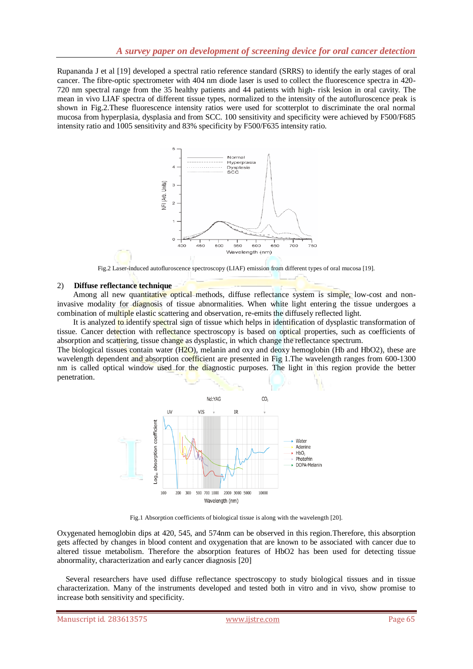Rupananda J et al [19] developed a spectral ratio reference standard (SRRS) to identify the early stages of oral cancer. The fibre-optic spectrometer with 404 nm diode laser is used to collect the fluorescence spectra in 420- 720 nm spectral range from the 35 healthy patients and 44 patients with high- risk lesion in oral cavity. The mean in vivo LIAF spectra of different tissue types, normalized to the intensity of the autofluroscence peak is shown in Fig.2.These fluorescence intensity ratios were used for scotterplot to discriminate the oral normal mucosa from hyperplasia, dysplasia and from SCC. 100 sensitivity and specificity were achieved by F500/F685 intensity ratio and 1005 sensitivity and 83% specificity by F500/F635 intensity ratio.



Fig.2 Laser-induced autofluroscence spectroscopy (LIAF) emission from different types of oral mucosa [19].

#### 2) **Diffuse reflectance technique**

Among all new quantitative optical methods, diffuse reflectance system is simple, low-cost and noninvasive modality for diagnosis of tissue abnormalities. When white light entering the tissue undergoes a combination of multiple elastic scattering and observation, re-emits the diffusely reflected light.

It is analyzed to identify spectral sign of tissue which helps in identification of dysplastic transformation of tissue. Cancer detection with reflectance spectroscopy is based on optical properties, such as coefficients of absorption and scattering, tissue change as dysplastic, in which change the reflectance spectrum.

The biological tissues contain water (H<sub>2</sub>O), melanin and oxy and deoxy hemoglobin (Hb and HbO2), these are wavelength dependent and absorption coefficient are presented in Fig 1. The wavelength ranges from 600-1300 nm is called optical window used for the diagnostic purposes. The light in this region provide the better penetration.



Fig.1 Absorption coefficients of biological tissue is along with the wavelength [20].

Oxygenated hemoglobin dips at 420, 545, and 574nm can be observed in this region.Therefore, this absorption gets affected by changes in blood content and oxygenation that are known to be associated with cancer due to altered tissue metabolism. Therefore the absorption features of HbO2 has been used for detecting tissue abnormality, characterization and early cancer diagnosis [20]

Several researchers have used diffuse reflectance spectroscopy to study biological tissues and in tissue characterization. Many of the instruments developed and tested both in vitro and in vivo, show promise to increase both sensitivity and specificity.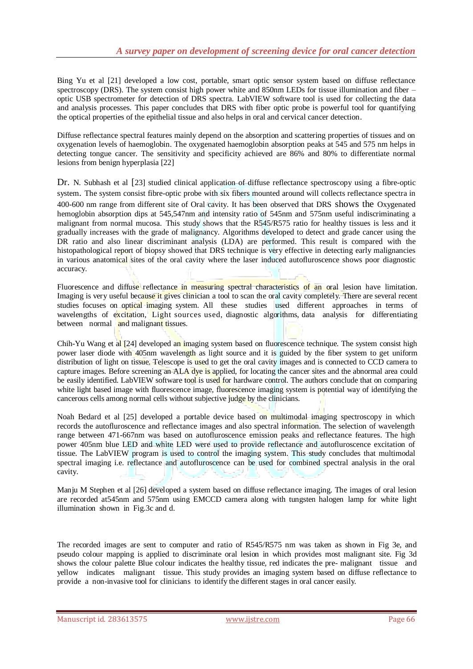Bing Yu et al [21] developed a low cost, portable, smart optic sensor system based on diffuse reflectance spectroscopy (DRS). The system consist high power white and 850nm LEDs for tissue illumination and fiber – optic USB spectrometer for detection of DRS spectra. LabVIEW software tool is used for collecting the data and analysis processes. This paper concludes that DRS with fiber optic probe is powerful tool for quantifying the optical properties of the epithelial tissue and also helps in oral and cervical cancer detection.

Diffuse reflectance spectral features mainly depend on the absorption and scattering properties of tissues and on oxygenation levels of haemoglobin. The oxygenated haemoglobin absorption peaks at 545 and 575 nm helps in detecting tongue cancer. The sensitivity and specificity achieved are 86% and 80% to differentiate normal lesions from benign hyperplasia [22]

Dr. N. Subhash et al [23] studied clinical application of diffuse reflectance spectroscopy using a fibre-optic system. The system consist fibre-optic probe with six fibers mounted around will collects reflectance spectra in 400-600 nm range from different site of Oral cavity. It has been observed that DRS shows the Oxygenated hemoglobin absorption dips at 545,547nm and intensity ratio of 545nm and 575nm useful indiscriminating a malignant from normal mucosa. This study shows that the R545/R575 ratio for healthy tissues is less and it gradually increases with the grade of malignancy. Algorithms developed to detect and grade cancer using the DR ratio and also linear discriminant analysis (LDA) are performed. This result is compared with the histopathological report of biopsy showed that DRS technique is very effective in detecting early malignancies in various anatomical sites of the oral cavity where the laser induced autofluroscence shows poor diagnostic accuracy.

Fluorescence and diffuse reflectance in measuring spectral characteristics of an oral lesion have limitation. Imaging is very useful because it gives clinician a tool to scan the oral cavity completely. There are several recent studies focuses on optical imaging system. All these studies used different approaches in terms of wavelengths of excitation, Light sources used, diagnostic algorithms, data analysis for differentiating between normal and malignant tissues.

Chih-Yu Wang et al [24] developed an imaging system based on fluorescence technique. The system consist high power laser diode with 405nm wavelength as light source and it is guided by the fiber system to get uniform distribution of light on tissue. Telescope is used to get the oral cavity images and is connected to CCD camera to capture images. Before screening an ALA dye is applied, for locating the cancer sites and the abnormal area could be easily identified. LabVIEW software tool is used for hardware control. The authors conclude that on comparing white light based image with fluorescence image, fluorescence imaging system is potential way of identifying the cancerous cells among normal cells without subjective judge by the clinicians.

Noah Bedard et al [25] developed a portable device based on multimodal imaging spectroscopy in which records the autofluroscence and reflectance images and also spectral information. The selection of wavelength range between 471-667nm was based on autofluroscence emission peaks and reflectance features. The high power 405nm blue LED and white LED were used to provide reflectance and autofluroscence excitation of tissue. The LabVIEW program is used to control the imaging system. This study concludes that multimodal spectral imaging i.e. reflectance and autofluroscence can be used for combined spectral analysis in the oral cavity.

Manju M Stephen et al [26] developed a system based on diffuse reflectance imaging. The images of oral lesion are recorded at545nm and 575nm using EMCCD camera along with tungsten halogen lamp for white light illumination shown in Fig.3c and d.

The recorded images are sent to computer and ratio of R545/R575 nm was taken as shown in Fig 3e, and pseudo colour mapping is applied to discriminate oral lesion in which provides most malignant site. Fig 3d shows the colour palette Blue colour indicates the healthy tissue, red indicates the pre- malignant tissue and yellow indicates malignant tissue. This study provides an imaging system based on diffuse reflectance to provide a non-invasive tool for clinicians to identify the different stages in oral cancer easily.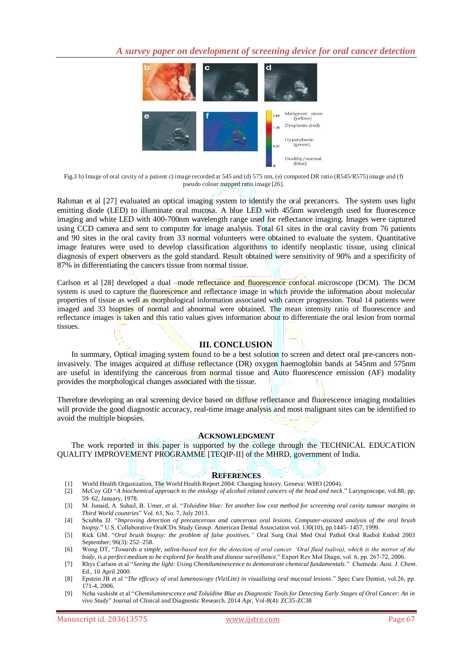

Fig.3 b) Image of oral cavity of a patient c) image recorded at 545 and (d) 575 nm, (e) computed DR ratio (R545/R575)image and (f) pseudo colour mapped ratio image [26].

Rahman et al [27] evaluated an optical imaging system to identify the oral precancers. The system uses light emitting diode (LED) to illuminate oral mucosa. A blue LED with 455nm wavelength used for fluorescence imaging and white LED with 400-700nm wavelength range used for reflectance imaging. Images were captured using CCD camera and sent to computer for image analysis. Total 61 sites in the oral cavity from 76 patients and 90 sites in the oral cavity from 33 normal volunteers were obtained to evaluate the system. Quantitative image features were used to develop classification algorithms to identify neoplastic tissue, using clinical diagnosis of expert observers as the gold standard. Result obtained were sensitivity of 90% and a specificity of 87% in differentiating the cancers tissue from normal tissue.

Carlson et al [28] developed a dual –mode reflectance and fluorescence confocal microscope (DCM). The DCM system is used to capture the fluorescence and reflectance image in which provide the information about molecular properties of tissue as well as morphological information associated with cancer progression. Total 14 patients were imaged and 33 biopsies of normal and abnormal were obtained. The mean intensity ratio of fluorescence and reflectance images is taken and this ratio values gives information about to differentiate the oral lesion from normal tissues.

#### **III. CONCLUSION**

In summary, Optical imaging system found to be a best solution to screen and detect oral pre-cancers noninvasively. The images acquired at diffuse reflectance (DR) oxygen haemoglobin bands at 545nm and 575nm are useful in identifying the cancerous from normal tissue and Auto fluorescence emission (AF) modality provides the morphological changes associated with the tissue.

Therefore developing an oral screening device based on diffuse reflectance and fluorescence imaging modalities will provide the good diagnostic accuracy, real-time image analysis and most malignant sites can be identified to avoid the multiple biopsies.

#### **ACKNOWLEDGMENT**

The work reported in this paper is supported by the college through the TECHNICAL EDUCATION QUALITY IMPROVEMENT PROGRAMME [TEQIP-II] of the MHRD, government of India.

#### **REFERENCES**

- [1] World Health Organization, The World Health Report 2004: Changing history. Geneva: WHO (2004).
- [2] McCoy GD "*A biochemical approach to the etiology of alcohol related cancers of the head and neck*." Laryngoscope, vol.88, pp. 59–62, January, 1978.
- [3] M. Junaid, A. Suhail, B. Umer, et al. "*Toluidine blue: Yet another low cost method for screening oral cavity tumour margins in Third World countries*" Vol. 63, No. 7, July 2013.
- [4] Sciubba JJ. "*Improving detection of precancerous and cancerous oral lesions. Computer-assisted analysis of the oral brush biopsy*." U.S. Collaborative OralCDx Study Group. American Dental Association vol. 130(10), pp.1445–1457, 1999.
- [5] Rick GM. "*Oral brush biopsy: the problem of false positives."* Oral Surg Oral Med Oral Pathol Oral Radiol Endod 2003 September; 96(3): 252–258.
- [6] Wong DT, "*Towards a simple, saliva-based test for the detection of oral cancer. "Oral fluid (saliva), which is the mirror of the body, is a perfect medium to be explored for health and disease surveillance*." Expert Rev Mol Diagn, vol. 6, pp. 267-72, 2006.
- [7] Rhys Carlson et al "*Seeing the light: Using Chemiluminescence to demonstrate chemical fundamentals*." Chemeda: *Aust. J. Chem*. Ed., 10 April 2000.
- [8] Epstein JB et al "*The efficacy of oral lumenoscopy (ViziLite) in visualizing oral mucosal lesions*." Spec Care Dentist, vol.26, pp. 171-4, 2006.
- [9] Neha vashisht et al "*Chemiluminescence and Toluidine Blue as Diagnostic Tools for Detecting Early Stages of Oral Cancer: An in vivo Study*" Journal of Clinical and Diagnostic Research. 2014 Apr, Vol-8(4): ZC35-ZC38